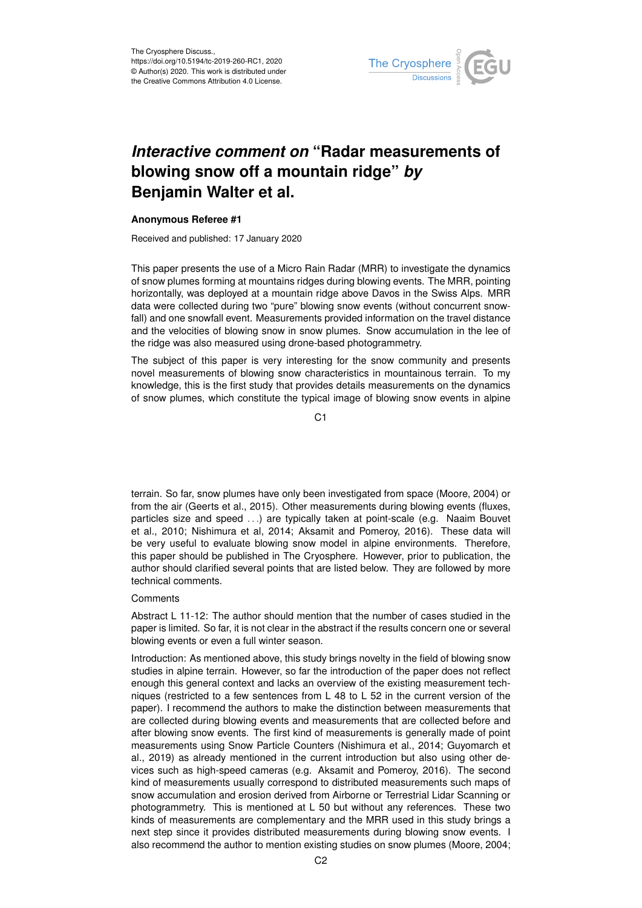

## *Interactive comment on* **"Radar measurements of blowing snow off a mountain ridge"** *by* **Benjamin Walter et al.**

## **Anonymous Referee #1**

Received and published: 17 January 2020

This paper presents the use of a Micro Rain Radar (MRR) to investigate the dynamics of snow plumes forming at mountains ridges during blowing events. The MRR, pointing horizontally, was deployed at a mountain ridge above Davos in the Swiss Alps. MRR data were collected during two "pure" blowing snow events (without concurrent snowfall) and one snowfall event. Measurements provided information on the travel distance and the velocities of blowing snow in snow plumes. Snow accumulation in the lee of the ridge was also measured using drone-based photogrammetry.

The subject of this paper is very interesting for the snow community and presents novel measurements of blowing snow characteristics in mountainous terrain. To my knowledge, this is the first study that provides details measurements on the dynamics of snow plumes, which constitute the typical image of blowing snow events in alpine

C1

terrain. So far, snow plumes have only been investigated from space (Moore, 2004) or from the air (Geerts et al., 2015). Other measurements during blowing events (fluxes, particles size and speed . . .) are typically taken at point-scale (e.g. Naaim Bouvet et al., 2010; Nishimura et al, 2014; Aksamit and Pomeroy, 2016). These data will be very useful to evaluate blowing snow model in alpine environments. Therefore, this paper should be published in The Cryosphere. However, prior to publication, the author should clarified several points that are listed below. They are followed by more technical comments.

## **Comments**

Abstract L 11-12: The author should mention that the number of cases studied in the paper is limited. So far, it is not clear in the abstract if the results concern one or several blowing events or even a full winter season.

Introduction: As mentioned above, this study brings novelty in the field of blowing snow studies in alpine terrain. However, so far the introduction of the paper does not reflect enough this general context and lacks an overview of the existing measurement techniques (restricted to a few sentences from L 48 to L 52 in the current version of the paper). I recommend the authors to make the distinction between measurements that are collected during blowing events and measurements that are collected before and after blowing snow events. The first kind of measurements is generally made of point measurements using Snow Particle Counters (Nishimura et al., 2014; Guyomarch et al., 2019) as already mentioned in the current introduction but also using other devices such as high-speed cameras (e.g. Aksamit and Pomeroy, 2016). The second kind of measurements usually correspond to distributed measurements such maps of snow accumulation and erosion derived from Airborne or Terrestrial Lidar Scanning or photogrammetry. This is mentioned at L 50 but without any references. These two kinds of measurements are complementary and the MRR used in this study brings a next step since it provides distributed measurements during blowing snow events. I also recommend the author to mention existing studies on snow plumes (Moore, 2004;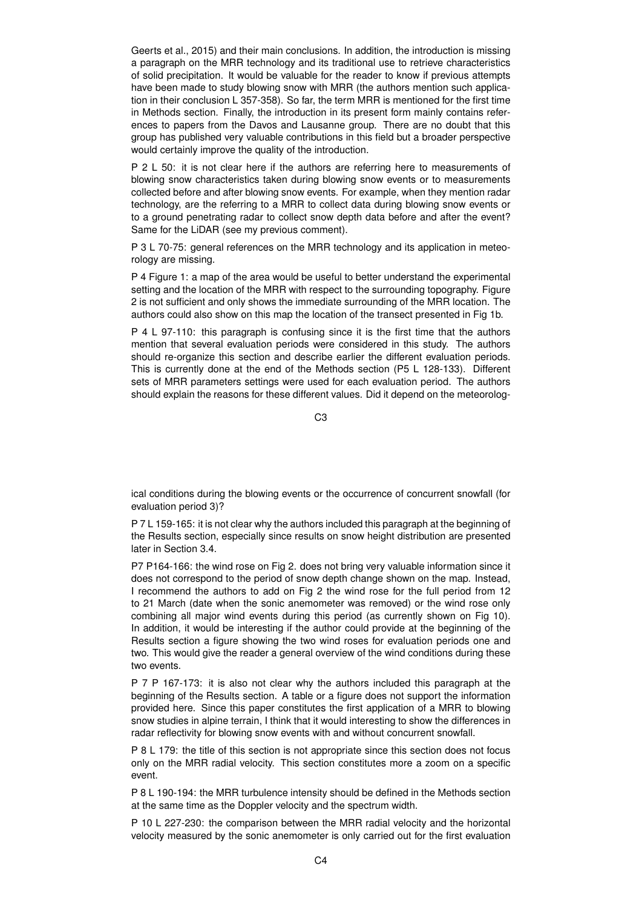Geerts et al., 2015) and their main conclusions. In addition, the introduction is missing a paragraph on the MRR technology and its traditional use to retrieve characteristics of solid precipitation. It would be valuable for the reader to know if previous attempts have been made to study blowing snow with MRR (the authors mention such application in their conclusion L 357-358). So far, the term MRR is mentioned for the first time in Methods section. Finally, the introduction in its present form mainly contains references to papers from the Davos and Lausanne group. There are no doubt that this group has published very valuable contributions in this field but a broader perspective would certainly improve the quality of the introduction.

P 2 L 50: it is not clear here if the authors are referring here to measurements of blowing snow characteristics taken during blowing snow events or to measurements collected before and after blowing snow events. For example, when they mention radar technology, are the referring to a MRR to collect data during blowing snow events or to a ground penetrating radar to collect snow depth data before and after the event? Same for the LiDAR (see my previous comment).

P 3 L 70-75: general references on the MRR technology and its application in meteorology are missing.

P 4 Figure 1: a map of the area would be useful to better understand the experimental setting and the location of the MRR with respect to the surrounding topography. Figure 2 is not sufficient and only shows the immediate surrounding of the MRR location. The authors could also show on this map the location of the transect presented in Fig 1b.

P 4 L 97-110: this paragraph is confusing since it is the first time that the authors mention that several evaluation periods were considered in this study. The authors should re-organize this section and describe earlier the different evaluation periods. This is currently done at the end of the Methods section (P5 L 128-133). Different sets of MRR parameters settings were used for each evaluation period. The authors should explain the reasons for these different values. Did it depend on the meteorolog-

 $C<sub>3</sub>$ 

ical conditions during the blowing events or the occurrence of concurrent snowfall (for evaluation period 3)?

P 7 L 159-165: it is not clear why the authors included this paragraph at the beginning of the Results section, especially since results on snow height distribution are presented later in Section 3.4.

P7 P164-166: the wind rose on Fig 2. does not bring very valuable information since it does not correspond to the period of snow depth change shown on the map. Instead, I recommend the authors to add on Fig 2 the wind rose for the full period from 12 to 21 March (date when the sonic anemometer was removed) or the wind rose only combining all major wind events during this period (as currently shown on Fig 10). In addition, it would be interesting if the author could provide at the beginning of the Results section a figure showing the two wind roses for evaluation periods one and two. This would give the reader a general overview of the wind conditions during these two events.

P 7 P 167-173: it is also not clear why the authors included this paragraph at the beginning of the Results section. A table or a figure does not support the information provided here. Since this paper constitutes the first application of a MRR to blowing snow studies in alpine terrain, I think that it would interesting to show the differences in radar reflectivity for blowing snow events with and without concurrent snowfall.

P 8 L 179: the title of this section is not appropriate since this section does not focus only on the MRR radial velocity. This section constitutes more a zoom on a specific event.

P 8 L 190-194: the MRR turbulence intensity should be defined in the Methods section at the same time as the Doppler velocity and the spectrum width.

P 10 L 227-230: the comparison between the MRR radial velocity and the horizontal velocity measured by the sonic anemometer is only carried out for the first evaluation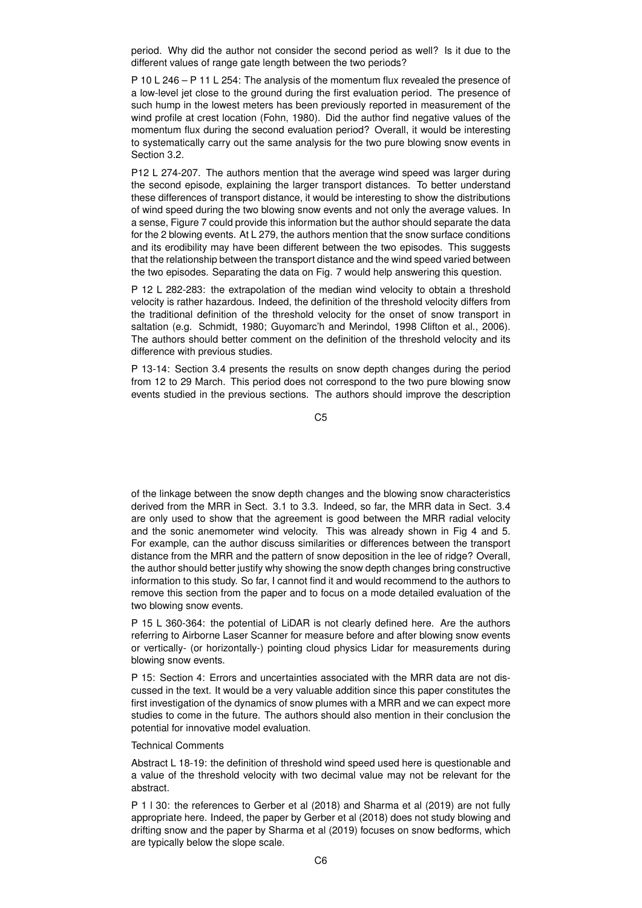period. Why did the author not consider the second period as well? Is it due to the different values of range gate length between the two periods?

P 10 L 246 – P 11 L 254: The analysis of the momentum flux revealed the presence of a low-level jet close to the ground during the first evaluation period. The presence of such hump in the lowest meters has been previously reported in measurement of the wind profile at crest location (Fohn, 1980). Did the author find negative values of the momentum flux during the second evaluation period? Overall, it would be interesting to systematically carry out the same analysis for the two pure blowing snow events in Section 3.2.

P12 L 274-207. The authors mention that the average wind speed was larger during the second episode, explaining the larger transport distances. To better understand these differences of transport distance, it would be interesting to show the distributions of wind speed during the two blowing snow events and not only the average values. In a sense, Figure 7 could provide this information but the author should separate the data for the 2 blowing events. At L 279, the authors mention that the snow surface conditions and its erodibility may have been different between the two episodes. This suggests that the relationship between the transport distance and the wind speed varied between the two episodes. Separating the data on Fig. 7 would help answering this question.

P 12 L 282-283: the extrapolation of the median wind velocity to obtain a threshold velocity is rather hazardous. Indeed, the definition of the threshold velocity differs from the traditional definition of the threshold velocity for the onset of snow transport in saltation (e.g. Schmidt, 1980; Guyomarc'h and Merindol, 1998 Clifton et al., 2006). The authors should better comment on the definition of the threshold velocity and its difference with previous studies.

P 13-14: Section 3.4 presents the results on snow depth changes during the period from 12 to 29 March. This period does not correspond to the two pure blowing snow events studied in the previous sections. The authors should improve the description

C5

of the linkage between the snow depth changes and the blowing snow characteristics derived from the MRR in Sect. 3.1 to 3.3. Indeed, so far, the MRR data in Sect. 3.4 are only used to show that the agreement is good between the MRR radial velocity and the sonic anemometer wind velocity. This was already shown in Fig 4 and 5. For example, can the author discuss similarities or differences between the transport distance from the MRR and the pattern of snow deposition in the lee of ridge? Overall, the author should better justify why showing the snow depth changes bring constructive information to this study. So far, I cannot find it and would recommend to the authors to remove this section from the paper and to focus on a mode detailed evaluation of the two blowing snow events.

P 15 L 360-364: the potential of LiDAR is not clearly defined here. Are the authors referring to Airborne Laser Scanner for measure before and after blowing snow events or vertically- (or horizontally-) pointing cloud physics Lidar for measurements during blowing snow events.

P 15: Section 4: Errors and uncertainties associated with the MRR data are not discussed in the text. It would be a very valuable addition since this paper constitutes the first investigation of the dynamics of snow plumes with a MRR and we can expect more studies to come in the future. The authors should also mention in their conclusion the potential for innovative model evaluation.

## Technical Comments

Abstract L 18-19: the definition of threshold wind speed used here is questionable and a value of the threshold velocity with two decimal value may not be relevant for the abstract.

P 1 l 30: the references to Gerber et al (2018) and Sharma et al (2019) are not fully appropriate here. Indeed, the paper by Gerber et al (2018) does not study blowing and drifting snow and the paper by Sharma et al (2019) focuses on snow bedforms, which are typically below the slope scale.